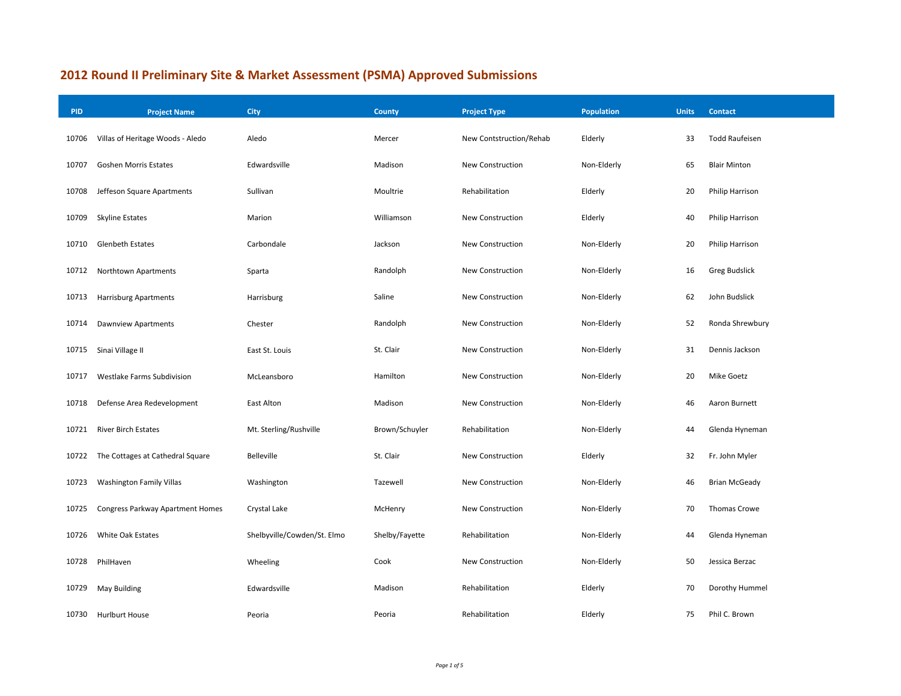## **2012 Round II Preliminary Site & Market Assessment (PSMA) Approved Submissions**

| <b>PID</b> | <b>Project Name</b>              | City                        | <b>County</b>  | <b>Project Type</b>     | <b>Population</b> | <b>Units</b> | Contact               |
|------------|----------------------------------|-----------------------------|----------------|-------------------------|-------------------|--------------|-----------------------|
| 10706      | Villas of Heritage Woods - Aledo | Aledo                       | Mercer         | New Contstruction/Rehab | Elderly           | 33           | <b>Todd Raufeisen</b> |
| 10707      | <b>Goshen Morris Estates</b>     | Edwardsville                | Madison        | <b>New Construction</b> | Non-Elderly       | 65           | <b>Blair Minton</b>   |
| 10708      | Jeffeson Square Apartments       | Sullivan                    | Moultrie       | Rehabilitation          | Elderly           | 20           | Philip Harrison       |
| 10709      | <b>Skyline Estates</b>           | Marion                      | Williamson     | New Construction        | Elderly           | 40           | Philip Harrison       |
| 10710      | <b>Glenbeth Estates</b>          | Carbondale                  | Jackson        | New Construction        | Non-Elderly       | 20           | Philip Harrison       |
| 10712      | Northtown Apartments             | Sparta                      | Randolph       | <b>New Construction</b> | Non-Elderly       | 16           | <b>Greg Budslick</b>  |
| 10713      | <b>Harrisburg Apartments</b>     | Harrisburg                  | Saline         | New Construction        | Non-Elderly       | 62           | John Budslick         |
| 10714      | Dawnview Apartments              | Chester                     | Randolph       | New Construction        | Non-Elderly       | 52           | Ronda Shrewbury       |
| 10715      | Sinai Village II                 | East St. Louis              | St. Clair      | New Construction        | Non-Elderly       | 31           | Dennis Jackson        |
| 10717      | Westlake Farms Subdivision       | McLeansboro                 | Hamilton       | New Construction        | Non-Elderly       | 20           | <b>Mike Goetz</b>     |
| 10718      | Defense Area Redevelopment       | East Alton                  | Madison        | New Construction        | Non-Elderly       | 46           | Aaron Burnett         |
| 10721      | <b>River Birch Estates</b>       | Mt. Sterling/Rushville      | Brown/Schuyler | Rehabilitation          | Non-Elderly       | 44           | Glenda Hyneman        |
| 10722      | The Cottages at Cathedral Square | Belleville                  | St. Clair      | New Construction        | Elderly           | 32           | Fr. John Myler        |
| 10723      | <b>Washington Family Villas</b>  | Washington                  | Tazewell       | New Construction        | Non-Elderly       | 46           | <b>Brian McGeady</b>  |
| 10725      | Congress Parkway Apartment Homes | Crystal Lake                | McHenry        | <b>New Construction</b> | Non-Elderly       | 70           | <b>Thomas Crowe</b>   |
| 10726      | <b>White Oak Estates</b>         | Shelbyville/Cowden/St. Elmo | Shelby/Fayette | Rehabilitation          | Non-Elderly       | 44           | Glenda Hyneman        |
| 10728      | PhilHaven                        | Wheeling                    | Cook           | <b>New Construction</b> | Non-Elderly       | 50           | Jessica Berzac        |
| 10729      | <b>May Building</b>              | Edwardsville                | Madison        | Rehabilitation          | Elderly           | 70           | Dorothy Hummel        |
| 10730      | <b>Hurlburt House</b>            | Peoria                      | Peoria         | Rehabilitation          | Elderly           | 75           | Phil C. Brown         |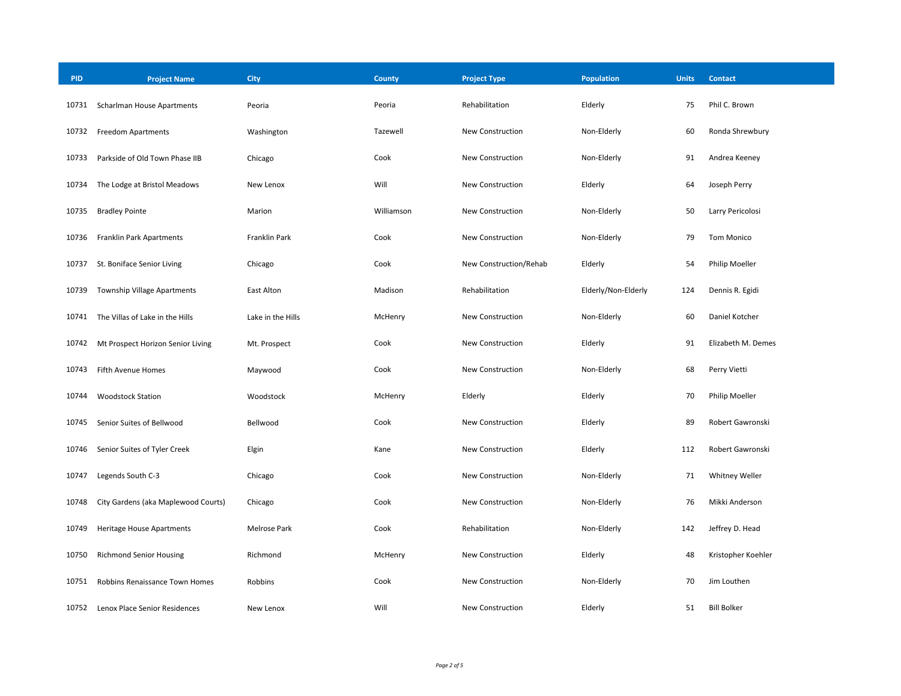| <b>PID</b> | <b>Project Name</b>                 | City              | County     | <b>Project Type</b>    | <b>Population</b>   | <b>Units</b> | <b>Contact</b>     |
|------------|-------------------------------------|-------------------|------------|------------------------|---------------------|--------------|--------------------|
| 10731      | Scharlman House Apartments          | Peoria            | Peoria     | Rehabilitation         | Elderly             | 75           | Phil C. Brown      |
| 10732      | <b>Freedom Apartments</b>           | Washington        | Tazewell   | New Construction       | Non-Elderly         | 60           | Ronda Shrewbury    |
| 10733      | Parkside of Old Town Phase IIB      | Chicago           | Cook       | New Construction       | Non-Elderly         | 91           | Andrea Keeney      |
| 10734      | The Lodge at Bristol Meadows        | New Lenox         | Will       | New Construction       | Elderly             | 64           | Joseph Perry       |
| 10735      | <b>Bradley Pointe</b>               | Marion            | Williamson | New Construction       | Non-Elderly         | 50           | Larry Pericolosi   |
| 10736      | <b>Franklin Park Apartments</b>     | Franklin Park     | Cook       | New Construction       | Non-Elderly         | 79           | Tom Monico         |
| 10737      | St. Boniface Senior Living          | Chicago           | Cook       | New Construction/Rehab | Elderly             | 54           | Philip Moeller     |
| 10739      | <b>Township Village Apartments</b>  | East Alton        | Madison    | Rehabilitation         | Elderly/Non-Elderly | 124          | Dennis R. Egidi    |
| 10741      | The Villas of Lake in the Hills     | Lake in the Hills | McHenry    | New Construction       | Non-Elderly         | 60           | Daniel Kotcher     |
| 10742      | Mt Prospect Horizon Senior Living   | Mt. Prospect      | Cook       | New Construction       | Elderly             | 91           | Elizabeth M. Demes |
| 10743      | Fifth Avenue Homes                  | Maywood           | Cook       | New Construction       | Non-Elderly         | 68           | Perry Vietti       |
| 10744      | <b>Woodstock Station</b>            | Woodstock         | McHenry    | Elderly                | Elderly             | 70           | Philip Moeller     |
| 10745      | Senior Suites of Bellwood           | Bellwood          | Cook       | New Construction       | Elderly             | 89           | Robert Gawronski   |
| 10746      | Senior Suites of Tyler Creek        | Elgin             | Kane       | New Construction       | Elderly             | 112          | Robert Gawronski   |
| 10747      | Legends South C-3                   | Chicago           | Cook       | New Construction       | Non-Elderly         | 71           | Whitney Weller     |
| 10748      | City Gardens (aka Maplewood Courts) | Chicago           | Cook       | New Construction       | Non-Elderly         | 76           | Mikki Anderson     |
| 10749      | <b>Heritage House Apartments</b>    | Melrose Park      | Cook       | Rehabilitation         | Non-Elderly         | 142          | Jeffrey D. Head    |
| 10750      | <b>Richmond Senior Housing</b>      | Richmond          | McHenry    | New Construction       | Elderly             | 48           | Kristopher Koehler |
| 10751      | Robbins Renaissance Town Homes      | Robbins           | Cook       | New Construction       | Non-Elderly         | 70           | Jim Louthen        |
| 10752      | Lenox Place Senior Residences       | New Lenox         | Will       | New Construction       | Elderly             | 51           | <b>Bill Bolker</b> |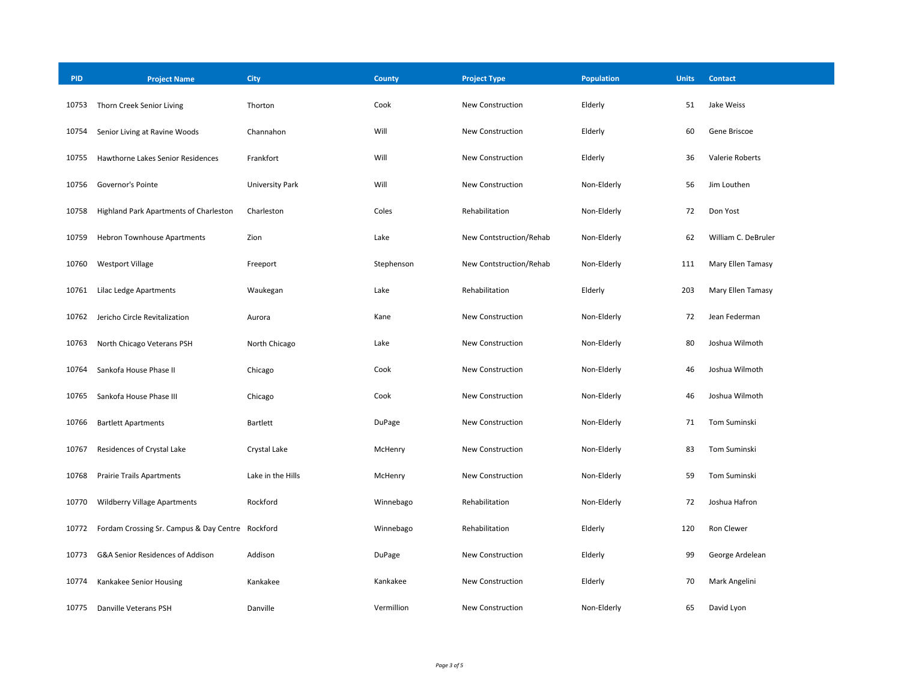| <b>PID</b> | <b>Project Name</b>                              | City                   | County     | <b>Project Type</b>     | <b>Population</b> | <b>Units</b> | <b>Contact</b>      |
|------------|--------------------------------------------------|------------------------|------------|-------------------------|-------------------|--------------|---------------------|
| 10753      | Thorn Creek Senior Living                        | Thorton                | Cook       | New Construction        | Elderly           | 51           | Jake Weiss          |
| 10754      | Senior Living at Ravine Woods                    | Channahon              | Will       | New Construction        | Elderly           | 60           | Gene Briscoe        |
| 10755      | Hawthorne Lakes Senior Residences                | Frankfort              | Will       | New Construction        | Elderly           | 36           | Valerie Roberts     |
| 10756      | Governor's Pointe                                | <b>University Park</b> | Will       | New Construction        | Non-Elderly       | 56           | Jim Louthen         |
| 10758      | Highland Park Apartments of Charleston           | Charleston             | Coles      | Rehabilitation          | Non-Elderly       | 72           | Don Yost            |
| 10759      | <b>Hebron Townhouse Apartments</b>               | Zion                   | Lake       | New Contstruction/Rehab | Non-Elderly       | 62           | William C. DeBruler |
| 10760      | <b>Westport Village</b>                          | Freeport               | Stephenson | New Contstruction/Rehab | Non-Elderly       | 111          | Mary Ellen Tamasy   |
| 10761      | Lilac Ledge Apartments                           | Waukegan               | Lake       | Rehabilitation          | Elderly           | 203          | Mary Ellen Tamasy   |
| 10762      | Jericho Circle Revitalization                    | Aurora                 | Kane       | New Construction        | Non-Elderly       | 72           | Jean Federman       |
| 10763      | North Chicago Veterans PSH                       | North Chicago          | Lake       | New Construction        | Non-Elderly       | 80           | Joshua Wilmoth      |
| 10764      | Sankofa House Phase II                           | Chicago                | Cook       | New Construction        | Non-Elderly       | 46           | Joshua Wilmoth      |
| 10765      | Sankofa House Phase III                          | Chicago                | Cook       | New Construction        | Non-Elderly       | 46           | Joshua Wilmoth      |
| 10766      | <b>Bartlett Apartments</b>                       | <b>Bartlett</b>        | DuPage     | New Construction        | Non-Elderly       | 71           | Tom Suminski        |
| 10767      | Residences of Crystal Lake                       | Crystal Lake           | McHenry    | New Construction        | Non-Elderly       | 83           | Tom Suminski        |
| 10768      | <b>Prairie Trails Apartments</b>                 | Lake in the Hills      | McHenry    | New Construction        | Non-Elderly       | 59           | Tom Suminski        |
| 10770      | Wildberry Village Apartments                     | Rockford               | Winnebago  | Rehabilitation          | Non-Elderly       | 72           | Joshua Hafron       |
| 10772      | Fordam Crossing Sr. Campus & Day Centre Rockford |                        | Winnebago  | Rehabilitation          | Elderly           | 120          | Ron Clewer          |
| 10773      | G&A Senior Residences of Addison                 | Addison                | DuPage     | New Construction        | Elderly           | 99           | George Ardelean     |
| 10774      | Kankakee Senior Housing                          | Kankakee               | Kankakee   | New Construction        | Elderly           | 70           | Mark Angelini       |
| 10775      | Danville Veterans PSH                            | Danville               | Vermillion | New Construction        | Non-Elderly       | 65           | David Lyon          |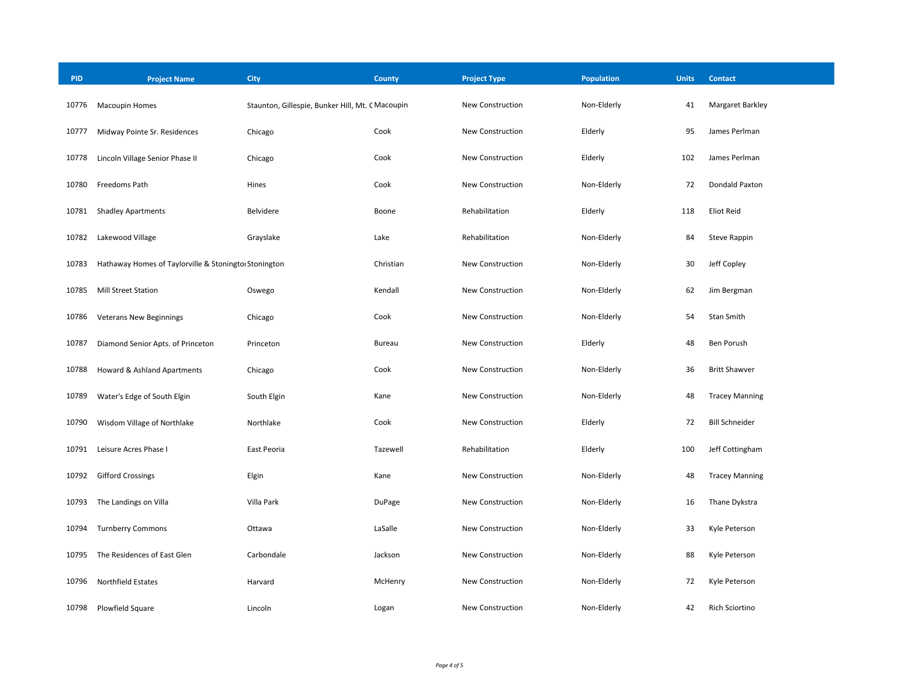| <b>PID</b> | <b>Project Name</b>                                  | <b>City</b>                                      | County        | <b>Project Type</b>     | <b>Population</b> | <b>Units</b> | <b>Contact</b>        |
|------------|------------------------------------------------------|--------------------------------------------------|---------------|-------------------------|-------------------|--------------|-----------------------|
| 10776      | <b>Macoupin Homes</b>                                | Staunton, Gillespie, Bunker Hill, Mt. C Macoupin |               | New Construction        | Non-Elderly       | 41           | Margaret Barkley      |
| 10777      | Midway Pointe Sr. Residences                         | Chicago                                          | Cook          | <b>New Construction</b> | Elderly           | 95           | James Perlman         |
| 10778      | Lincoln Village Senior Phase II                      | Chicago                                          | Cook          | New Construction        | Elderly           | 102          | James Perlman         |
| 10780      | Freedoms Path                                        | Hines                                            | Cook          | New Construction        | Non-Elderly       | 72           | Dondald Paxton        |
| 10781      | <b>Shadley Apartments</b>                            | Belvidere                                        | Boone         | Rehabilitation          | Elderly           | 118          | Eliot Reid            |
| 10782      | Lakewood Village                                     | Grayslake                                        | Lake          | Rehabilitation          | Non-Elderly       | 84           | Steve Rappin          |
| 10783      | Hathaway Homes of Taylorville & Stoningto Stonington |                                                  | Christian     | <b>New Construction</b> | Non-Elderly       | 30           | Jeff Copley           |
| 10785      | <b>Mill Street Station</b>                           | Oswego                                           | Kendall       | <b>New Construction</b> | Non-Elderly       | 62           | Jim Bergman           |
| 10786      | <b>Veterans New Beginnings</b>                       | Chicago                                          | Cook          | New Construction        | Non-Elderly       | 54           | Stan Smith            |
| 10787      | Diamond Senior Apts. of Princeton                    | Princeton                                        | <b>Bureau</b> | New Construction        | Elderly           | 48           | Ben Porush            |
| 10788      | Howard & Ashland Apartments                          | Chicago                                          | Cook          | <b>New Construction</b> | Non-Elderly       | 36           | <b>Britt Shawver</b>  |
| 10789      | Water's Edge of South Elgin                          | South Elgin                                      | Kane          | New Construction        | Non-Elderly       | 48           | <b>Tracey Manning</b> |
| 10790      | Wisdom Village of Northlake                          | Northlake                                        | Cook          | New Construction        | Elderly           | 72           | <b>Bill Schneider</b> |
| 10791      | Leisure Acres Phase I                                | East Peoria                                      | Tazewell      | Rehabilitation          | Elderly           | 100          | Jeff Cottingham       |
| 10792      | <b>Gifford Crossings</b>                             | Elgin                                            | Kane          | <b>New Construction</b> | Non-Elderly       | 48           | <b>Tracey Manning</b> |
| 10793      | The Landings on Villa                                | Villa Park                                       | DuPage        | <b>New Construction</b> | Non-Elderly       | 16           | Thane Dykstra         |
| 10794      | <b>Turnberry Commons</b>                             | Ottawa                                           | LaSalle       | <b>New Construction</b> | Non-Elderly       | 33           | Kyle Peterson         |
| 10795      | The Residences of East Glen                          | Carbondale                                       | Jackson       | New Construction        | Non-Elderly       | 88           | Kyle Peterson         |
| 10796      | Northfield Estates                                   | Harvard                                          | McHenry       | New Construction        | Non-Elderly       | 72           | Kyle Peterson         |
| 10798      | Plowfield Square                                     | Lincoln                                          | Logan         | <b>New Construction</b> | Non-Elderly       | 42           | <b>Rich Sciortino</b> |